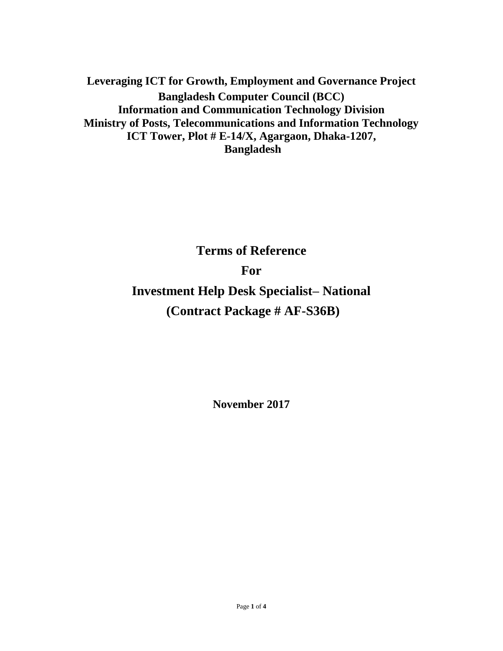**Leveraging ICT for Growth, Employment and Governance Project Bangladesh Computer Council (BCC) Information and Communication Technology Division Ministry of Posts, Telecommunications and Information Technology ICT Tower, Plot # E-14/X, Agargaon, Dhaka-1207, Bangladesh**

**Terms of Reference**

**For**

**Investment Help Desk Specialist– National (Contract Package # AF-S36B)**

**November 2017**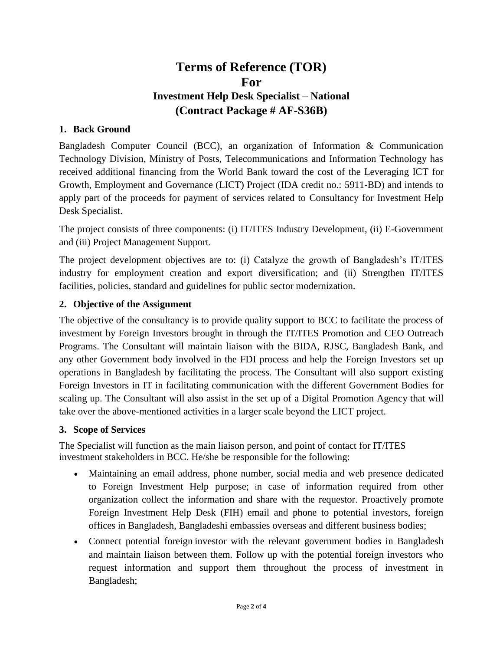# **Terms of Reference (TOR) For Investment Help Desk Specialist – National (Contract Package # AF-S36B)**

## **1. Back Ground**

Bangladesh Computer Council (BCC), an organization of Information & Communication Technology Division, Ministry of Posts, Telecommunications and Information Technology has received additional financing from the World Bank toward the cost of the Leveraging ICT for Growth, Employment and Governance (LICT) Project (IDA credit no.: 5911-BD) and intends to apply part of the proceeds for payment of services related to Consultancy for Investment Help Desk Specialist.

The project consists of three components: (i) IT/ITES Industry Development, (ii) E-Government and (iii) Project Management Support.

The project development objectives are to: (i) Catalyze the growth of Bangladesh's IT/ITES industry for employment creation and export diversification; and (ii) Strengthen IT/ITES facilities, policies, standard and guidelines for public sector modernization.

### **2. Objective of the Assignment**

The objective of the consultancy is to provide quality support to BCC to facilitate the process of investment by Foreign Investors brought in through the IT/ITES Promotion and CEO Outreach Programs. The Consultant will maintain liaison with the BIDA, RJSC, Bangladesh Bank, and any other Government body involved in the FDI process and help the Foreign Investors set up operations in Bangladesh by facilitating the process. The Consultant will also support existing Foreign Investors in IT in facilitating communication with the different Government Bodies for scaling up. The Consultant will also assist in the set up of a Digital Promotion Agency that will take over the above-mentioned activities in a larger scale beyond the LICT project.

### **3. Scope of Services**

The Specialist will function as the main liaison person, and point of contact for IT/ITES investment stakeholders in BCC. He/she be responsible for the following:

- Maintaining an email address, phone number, social media and web presence dedicated to Foreign Investment Help purpose; in case of information required from other organization collect the information and share with the requestor. Proactively promote Foreign Investment Help Desk (FIH) email and phone to potential investors, foreign offices in Bangladesh, Bangladeshi embassies overseas and different business bodies;
- Connect potential foreign investor with the relevant government bodies in Bangladesh and maintain liaison between them. Follow up with the potential foreign investors who request information and support them throughout the process of investment in Bangladesh;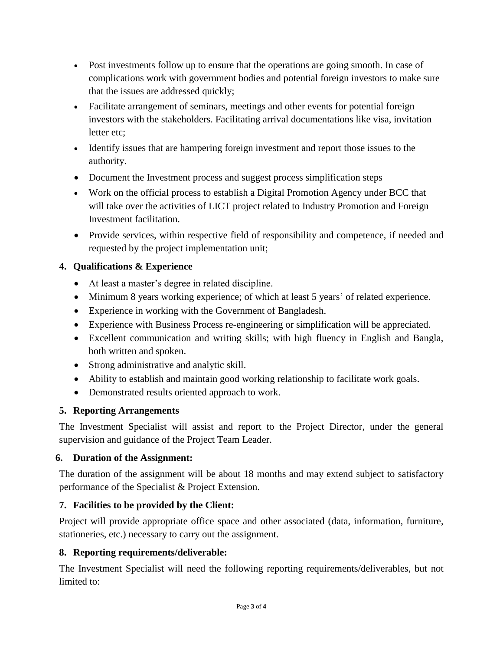- Post investments follow up to ensure that the operations are going smooth. In case of complications work with government bodies and potential foreign investors to make sure that the issues are addressed quickly;
- Facilitate arrangement of seminars, meetings and other events for potential foreign investors with the stakeholders. Facilitating arrival documentations like visa, invitation letter etc;
- Identify issues that are hampering foreign investment and report those issues to the authority.
- Document the Investment process and suggest process simplification steps
- Work on the official process to establish a Digital Promotion Agency under BCC that will take over the activities of LICT project related to Industry Promotion and Foreign Investment facilitation.
- Provide services, within respective field of responsibility and competence, if needed and requested by the project implementation unit;

# **4. Qualifications & Experience**

- At least a master's degree in related discipline.
- Minimum 8 years working experience; of which at least 5 years' of related experience.
- Experience in working with the Government of Bangladesh.
- Experience with Business Process re-engineering or simplification will be appreciated.
- Excellent communication and writing skills; with high fluency in English and Bangla, both written and spoken.
- Strong administrative and analytic skill.
- Ability to establish and maintain good working relationship to facilitate work goals.
- Demonstrated results oriented approach to work.

# **5. Reporting Arrangements**

The Investment Specialist will assist and report to the Project Director, under the general supervision and guidance of the Project Team Leader.

# **6. Duration of the Assignment:**

The duration of the assignment will be about 18 months and may extend subject to satisfactory performance of the Specialist & Project Extension.

# **7. Facilities to be provided by the Client:**

Project will provide appropriate office space and other associated (data, information, furniture, stationeries, etc.) necessary to carry out the assignment.

# **8. Reporting requirements/deliverable:**

The Investment Specialist will need the following reporting requirements/deliverables, but not limited to: